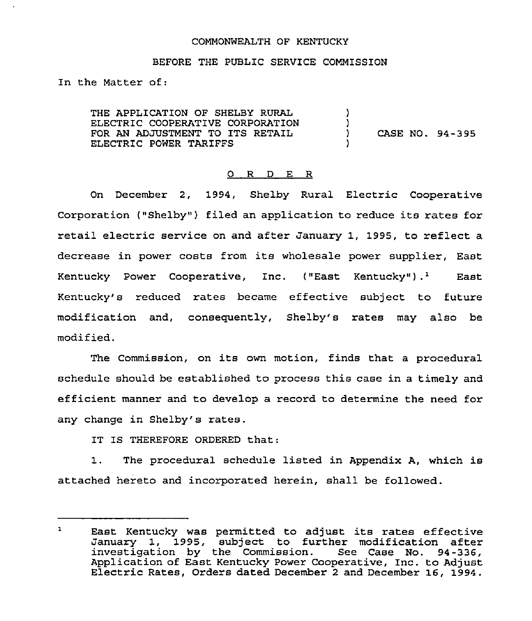### COMMONWEALTH OF KENTUCKY

#### BEFORE THE PUBLIC SERVICE COMMISSION

In the Matter of:

THE APPLICATION OF SHELBY RURAL ELECTRIC COOPERATIVE CORPORATION FOR AN ADJUSTMENT TO ITS RETAIL ELECTRIC POWER TARIFFS )  $\left\{ \right\}$ ) CASE NO. 94-395 )

## O R D E R

On December 2, 1994, Shelby Rural Electric Cooperative Corporation ("Shelby") filed an application to reduce its rates for retail electric service on and after January 1, 1995, to reflect a decrease in power costs from its wholesale power supplier, East Kentucky Power Cooperative, Inc.  $($ "East Kentucky" $) .<sup>1</sup>$  East Kentucky's reduced rates became effective subject to future modification and, consequently, Shelby's rates may also be modified.

The Commission, on its own motion, finds that <sup>a</sup> procedural schedule should be established to process this case in a timely and efficient manner and to develop a record to determine the need for any change in Shelby's rates.

IT IS THEREFORE ORDERED that:

1. The procedural schedule listed in Appendix A, which is attached hereto and incorporated herein, shall be followed.

 $\mathbf{1}$ East Kentucky was permitted to adjust its rates effective January 1, 1995, subject to further modification after investigation by the Commission. See Case No. 94-336, Application of East Kentucky Power Cooperative, Inc. to Adjust Electric Rates, Orders dated December <sup>2</sup> and December 16, 1994.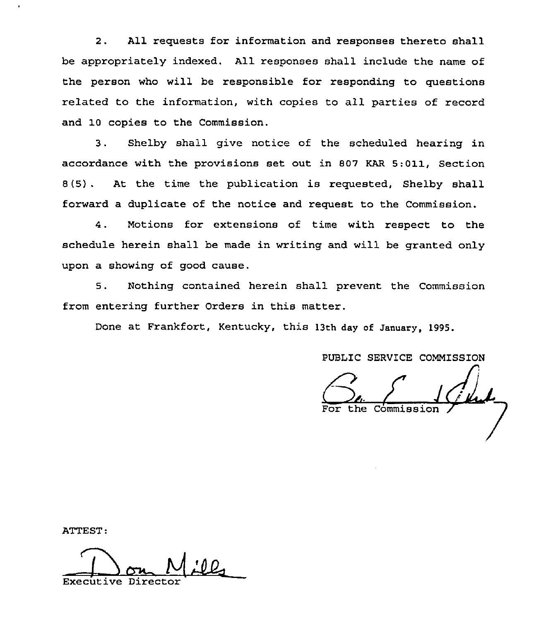2. All requests for information and responses thereto shall be appropriately indexed. All responses shall include the name of the person who will be responsible for responding to questions related to the information, with copies to all parties of record and 10 copies to the Commission.

3. Shelby shall give notice of the scheduled hearing in accordance with the provisions set out in 807 KAR 5:011, Section 8(5) . At the time the publication is requested, Shelby shall forward a duplicate of the notice and request to the Commission.

4. Motions for extensions of time with respect to the schedule herein shall be made in writing and will be granted only upon a showing of good cause.

5. Nothing contained herein shall prevent the Commission from entering further Orders in this matter.

Done at Frankfort, Kentucky, this 13th day of January, 1995.

PUBLIC SERVICE COMMISSION

 $C_{\text{e}}\left(1\right)$ 

ATTEST:

Executive